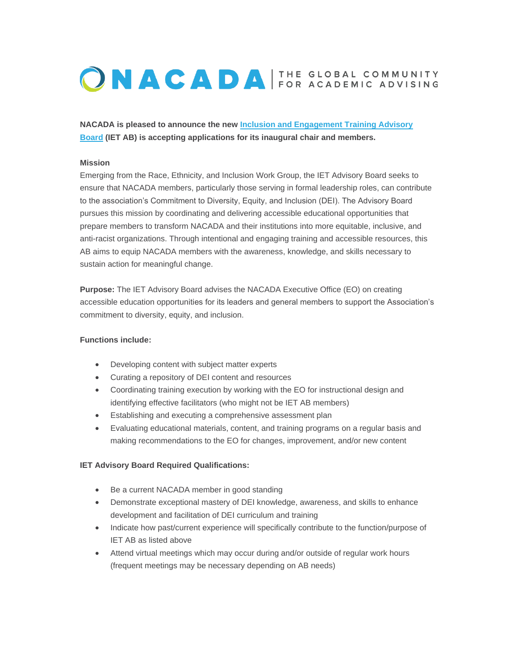# ONACADA FOR ACADEMIC ADVISING

**NACADA is pleased to announce the new [Inclusion and Engagement Training Advisory](https://elink.clickdimensions.com/c/7/eyJhaSI6MjQxOTk1MTYsImUiOiJtY29mZmV5QGtzdS5lZHUiLCJyaSI6ImNvbnRhY3QtNGViZmViZTc4ZjM4ZTIxMThhMjQwMDUwNTY4MzAwMGQtZmM1MjEzMjE1YjY2NDZhNDg5NWZjM2FkN2NkMWJmZDUiLCJycSI6IjAyLWIyMjA2OC00MDIyYjc4OTE5MDc0MjBkODIxNTFiNDQ0MWRjMTE0YSIsInBoIjpudWxsLCJtIjpmYWxzZSwidWkiOiIwIiwidW4iOiIiLCJ1IjoiaHR0cHM6Ly9uYWNhZGEua3N1LmVkdS9BYm91dC1Vcy9OQUNBREEtTGVhZGVyc2hpcC9BZG1pbmlzdHJhdGl2ZS1EaXZpc2lvbi9JbmNsdXNpb24tYW5kLUVuZ2FnZW1lbnQtVHJhaW5pbmctQWR2aXNvcnktQm9hcmQuYXNweD9fY2xkZWU9YldOdlptWmxlVUJyYzNVdVpXUjEmcmVjaXBpZW50aWQ9Y29udGFjdC00ZWJmZWJlNzhmMzhlMjExOGEyNDAwNTA1NjgzMDAwZC1mYzUyMTMyMTViNjY0NmE0ODk1ZmMzYWQ3Y2QxYmZkNSZlc2lkPTc4ZTQ1NzFhLWVkOWUtZWMxMS04MGZkLTAwMGQzYTBlZTgyOCJ9/VyFyjc-KJHvfzWw9vxSnAw)  [Board](https://elink.clickdimensions.com/c/7/eyJhaSI6MjQxOTk1MTYsImUiOiJtY29mZmV5QGtzdS5lZHUiLCJyaSI6ImNvbnRhY3QtNGViZmViZTc4ZjM4ZTIxMThhMjQwMDUwNTY4MzAwMGQtZmM1MjEzMjE1YjY2NDZhNDg5NWZjM2FkN2NkMWJmZDUiLCJycSI6IjAyLWIyMjA2OC00MDIyYjc4OTE5MDc0MjBkODIxNTFiNDQ0MWRjMTE0YSIsInBoIjpudWxsLCJtIjpmYWxzZSwidWkiOiIwIiwidW4iOiIiLCJ1IjoiaHR0cHM6Ly9uYWNhZGEua3N1LmVkdS9BYm91dC1Vcy9OQUNBREEtTGVhZGVyc2hpcC9BZG1pbmlzdHJhdGl2ZS1EaXZpc2lvbi9JbmNsdXNpb24tYW5kLUVuZ2FnZW1lbnQtVHJhaW5pbmctQWR2aXNvcnktQm9hcmQuYXNweD9fY2xkZWU9YldOdlptWmxlVUJyYzNVdVpXUjEmcmVjaXBpZW50aWQ9Y29udGFjdC00ZWJmZWJlNzhmMzhlMjExOGEyNDAwNTA1NjgzMDAwZC1mYzUyMTMyMTViNjY0NmE0ODk1ZmMzYWQ3Y2QxYmZkNSZlc2lkPTc4ZTQ1NzFhLWVkOWUtZWMxMS04MGZkLTAwMGQzYTBlZTgyOCJ9/VyFyjc-KJHvfzWw9vxSnAw) (IET AB) is accepting applications for its inaugural chair and members.**

# **Mission**

Emerging from the Race, Ethnicity, and Inclusion Work Group, the IET Advisory Board seeks to ensure that NACADA members, particularly those serving in formal leadership roles, can contribute to the association's Commitment to Diversity, Equity, and Inclusion (DEI). The Advisory Board pursues this mission by coordinating and delivering accessible educational opportunities that prepare members to transform NACADA and their institutions into more equitable, inclusive, and anti-racist organizations. Through intentional and engaging training and accessible resources, this AB aims to equip NACADA members with the awareness, knowledge, and skills necessary to sustain action for meaningful change.

**Purpose:** The IET Advisory Board advises the NACADA Executive Office (EO) on creating accessible education opportunities for its leaders and general members to support the Association's commitment to diversity, equity, and inclusion.

### **Functions include:**

- Developing content with subject matter experts
- Curating a repository of DEI content and resources
- Coordinating training execution by working with the EO for instructional design and identifying effective facilitators (who might not be IET AB members)
- Establishing and executing a comprehensive assessment plan
- Evaluating educational materials, content, and training programs on a regular basis and making recommendations to the EO for changes, improvement, and/or new content

#### **IET Advisory Board Required Qualifications:**

- Be a current NACADA member in good standing
- Demonstrate exceptional mastery of DEI knowledge, awareness, and skills to enhance development and facilitation of DEI curriculum and training
- Indicate how past/current experience will specifically contribute to the function/purpose of IET AB as listed above
- Attend virtual meetings which may occur during and/or outside of regular work hours (frequent meetings may be necessary depending on AB needs)